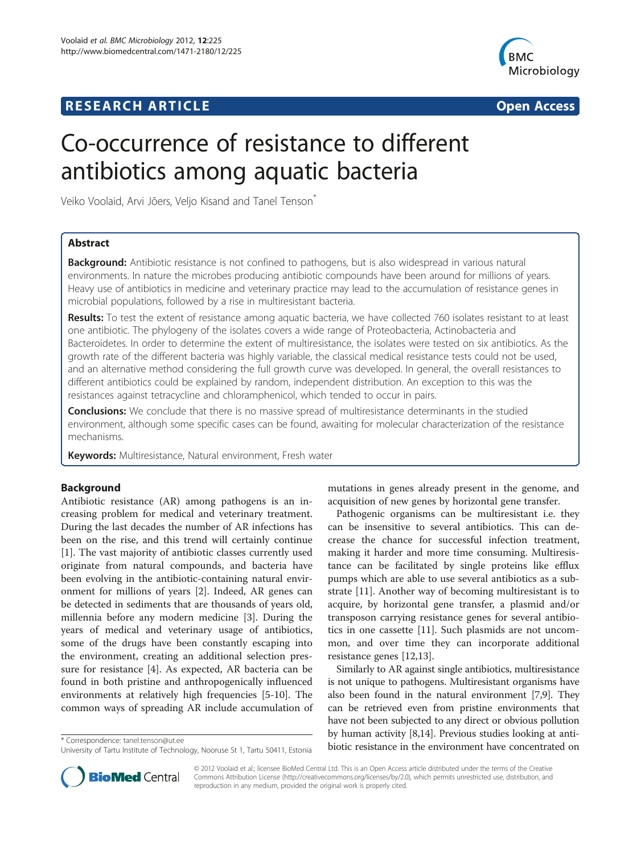# **RESEARCH ARTICLE Example 2014 The Contract of Contract Contract Contract Contract Contract Contract Contract Contract Contract Contract Contract Contract Contract Contract Contract Contract Contract Contract Contract Co**



# Co-occurrence of resistance to different antibiotics among aquatic bacteria

Veiko Voolaid, Arvi Jõers, Veljo Kisand and Tanel Tenson\*

# Abstract

Background: Antibiotic resistance is not confined to pathogens, but is also widespread in various natural environments. In nature the microbes producing antibiotic compounds have been around for millions of years. Heavy use of antibiotics in medicine and veterinary practice may lead to the accumulation of resistance genes in microbial populations, followed by a rise in multiresistant bacteria.

Results: To test the extent of resistance among aquatic bacteria, we have collected 760 isolates resistant to at least one antibiotic. The phylogeny of the isolates covers a wide range of Proteobacteria, Actinobacteria and Bacteroidetes. In order to determine the extent of multiresistance, the isolates were tested on six antibiotics. As the growth rate of the different bacteria was highly variable, the classical medical resistance tests could not be used, and an alternative method considering the full growth curve was developed. In general, the overall resistances to different antibiotics could be explained by random, independent distribution. An exception to this was the resistances against tetracycline and chloramphenicol, which tended to occur in pairs.

**Conclusions:** We conclude that there is no massive spread of multiresistance determinants in the studied environment, although some specific cases can be found, awaiting for molecular characterization of the resistance mechanisms.

Keywords: Multiresistance, Natural environment, Fresh water

# Background

Antibiotic resistance (AR) among pathogens is an increasing problem for medical and veterinary treatment. During the last decades the number of AR infections has been on the rise, and this trend will certainly continue [[1\]](#page-7-0). The vast majority of antibiotic classes currently used originate from natural compounds, and bacteria have been evolving in the antibiotic-containing natural environment for millions of years [\[2](#page-7-0)]. Indeed, AR genes can be detected in sediments that are thousands of years old, millennia before any modern medicine [\[3](#page-7-0)]. During the years of medical and veterinary usage of antibiotics, some of the drugs have been constantly escaping into the environment, creating an additional selection pressure for resistance [[4\]](#page-7-0). As expected, AR bacteria can be found in both pristine and anthropogenically influenced environments at relatively high frequencies [\[5](#page-7-0)-[10\]](#page-7-0). The common ways of spreading AR include accumulation of



Pathogenic organisms can be multiresistant i.e. they can be insensitive to several antibiotics. This can decrease the chance for successful infection treatment, making it harder and more time consuming. Multiresistance can be facilitated by single proteins like efflux pumps which are able to use several antibiotics as a substrate [[11](#page-7-0)]. Another way of becoming multiresistant is to acquire, by horizontal gene transfer, a plasmid and/or transposon carrying resistance genes for several antibiotics in one cassette [\[11\]](#page-7-0). Such plasmids are not uncommon, and over time they can incorporate additional resistance genes [\[12,13](#page-7-0)].

Similarly to AR against single antibiotics, multiresistance is not unique to pathogens. Multiresistant organisms have also been found in the natural environment [\[7,9\]](#page-7-0). They can be retrieved even from pristine environments that have not been subjected to any direct or obvious pollution by human activity [\[8,14\]](#page-7-0). Previous studies looking at antibiotic resistance in the environment have concentrated on \* Correspondence: [tanel.tenson@ut.ee](mailto:tanel.tenson@ut.ee)



© 2012 Voolaid et al.; licensee BioMed Central Ltd. This is an Open Access article distributed under the terms of the Creative Commons Attribution License [\(http://creativecommons.org/licenses/by/2.0\)](http://creativecommons.org/licenses/by/2.0), which permits unrestricted use, distribution, and reproduction in any medium, provided the original work is properly cited.

University of Tartu Institute of Technology, Nooruse St 1, Tartu 50411, Estonia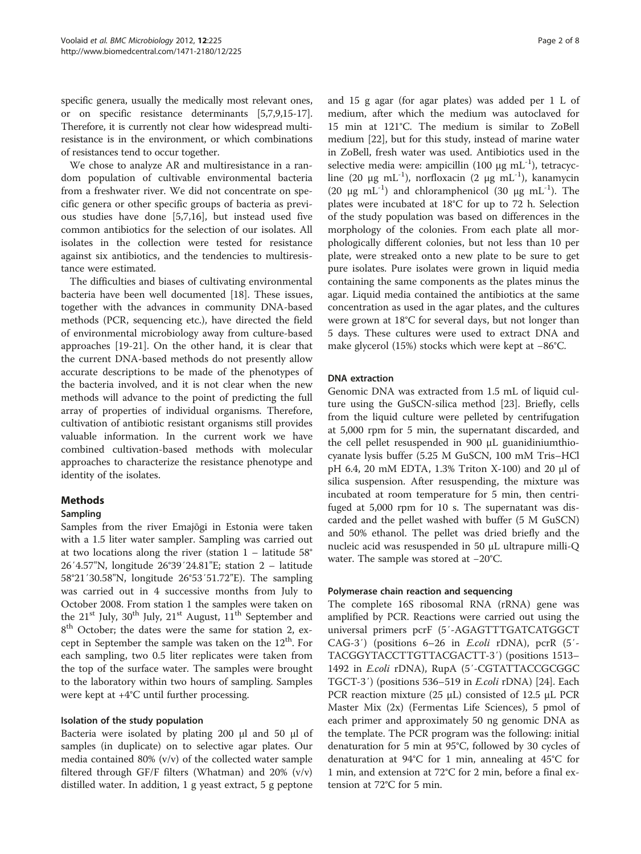specific genera, usually the medically most relevant ones, or on specific resistance determinants [\[5,7,9,15](#page-7-0)-[17](#page-7-0)]. Therefore, it is currently not clear how widespread multiresistance is in the environment, or which combinations of resistances tend to occur together.

We chose to analyze AR and multiresistance in a random population of cultivable environmental bacteria from a freshwater river. We did not concentrate on specific genera or other specific groups of bacteria as previous studies have done [\[5,7,16](#page-7-0)], but instead used five common antibiotics for the selection of our isolates. All isolates in the collection were tested for resistance against six antibiotics, and the tendencies to multiresistance were estimated.

The difficulties and biases of cultivating environmental bacteria have been well documented [\[18\]](#page-7-0). These issues, together with the advances in community DNA-based methods (PCR, sequencing etc.), have directed the field of environmental microbiology away from culture-based approaches [\[19-21](#page-7-0)]. On the other hand, it is clear that the current DNA-based methods do not presently allow accurate descriptions to be made of the phenotypes of the bacteria involved, and it is not clear when the new methods will advance to the point of predicting the full array of properties of individual organisms. Therefore, cultivation of antibiotic resistant organisms still provides valuable information. In the current work we have combined cultivation-based methods with molecular approaches to characterize the resistance phenotype and identity of the isolates.

# Methods

# Sampling

Samples from the river Emajõgi in Estonia were taken with a 1.5 liter water sampler. Sampling was carried out at two locations along the river (station  $1 -$  latitude 58° 26′4.57"N, longitude 26°39′24.81"E; station 2 – latitude 58°21′30.58"N, longitude 26°53′51.72"E). The sampling was carried out in 4 successive months from July to October 2008. From station 1 the samples were taken on the 21<sup>st</sup> July, 30<sup>th</sup> July, 21<sup>st</sup> August, 11<sup>th</sup> September and 8<sup>th</sup> October; the dates were the same for station 2, except in September the sample was taken on the  $12<sup>th</sup>$ . For each sampling, two 0.5 liter replicates were taken from the top of the surface water. The samples were brought to the laboratory within two hours of sampling. Samples were kept at +4°C until further processing.

#### Isolation of the study population

Bacteria were isolated by plating 200 μl and 50 μl of samples (in duplicate) on to selective agar plates. Our media contained 80% (v/v) of the collected water sample filtered through GF/F filters (Whatman) and  $20\%$  (v/v) distilled water. In addition, 1 g yeast extract, 5 g peptone

and 15 g agar (for agar plates) was added per 1 L of medium, after which the medium was autoclaved for 15 min at 121°C. The medium is similar to ZoBell medium [\[22\]](#page-7-0), but for this study, instead of marine water in ZoBell, fresh water was used. Antibiotics used in the selective media were: ampicillin (100  $\mu$ g mL<sup>-1</sup>), tetracycline (20 μg mL<sup>-1</sup>), norfloxacin (2 μg mL<sup>-1</sup>), kanamycin (20  $\mu$ g mL<sup>-1</sup>) and chloramphenicol (30  $\mu$ g mL<sup>-1</sup>). The plates were incubated at 18°C for up to 72 h. Selection of the study population was based on differences in the morphology of the colonies. From each plate all morphologically different colonies, but not less than 10 per plate, were streaked onto a new plate to be sure to get pure isolates. Pure isolates were grown in liquid media containing the same components as the plates minus the agar. Liquid media contained the antibiotics at the same concentration as used in the agar plates, and the cultures were grown at 18°C for several days, but not longer than 5 days. These cultures were used to extract DNA and make glycerol (15%) stocks which were kept at −86°C.

#### DNA extraction

Genomic DNA was extracted from 1.5 mL of liquid culture using the GuSCN-silica method [\[23](#page-7-0)]. Briefly, cells from the liquid culture were pelleted by centrifugation at 5,000 rpm for 5 min, the supernatant discarded, and the cell pellet resuspended in 900 μL guanidiniumthiocyanate lysis buffer (5.25 M GuSCN, 100 mM Tris–HCl pH 6.4, 20 mM EDTA, 1.3% Triton X-100) and 20 μl of silica suspension. After resuspending, the mixture was incubated at room temperature for 5 min, then centrifuged at 5,000 rpm for 10 s. The supernatant was discarded and the pellet washed with buffer (5 M GuSCN) and 50% ethanol. The pellet was dried briefly and the nucleic acid was resuspended in 50 μL ultrapure milli-Q water. The sample was stored at −20°C.

# Polymerase chain reaction and sequencing

The complete 16S ribosomal RNA (rRNA) gene was amplified by PCR. Reactions were carried out using the universal primers pcrF (5′-AGAGTTTGATCATGGCT CAG-3′) (positions 6–26 in E.coli rDNA), pcrR (5′- TACGGYTACCTTGTTACGACTT-3′) (positions 1513– 1492 in *E.coli* rDNA), RupA (5'-CGTATTACCGCGGC TGCT-3′) (positions 536–519 in E.coli rDNA) [[24\]](#page-7-0). Each PCR reaction mixture (25 μL) consisted of 12.5 μL PCR Master Mix (2x) (Fermentas Life Sciences), 5 pmol of each primer and approximately 50 ng genomic DNA as the template. The PCR program was the following: initial denaturation for 5 min at 95°C, followed by 30 cycles of denaturation at 94°C for 1 min, annealing at 45°C for 1 min, and extension at 72°C for 2 min, before a final extension at 72°C for 5 min.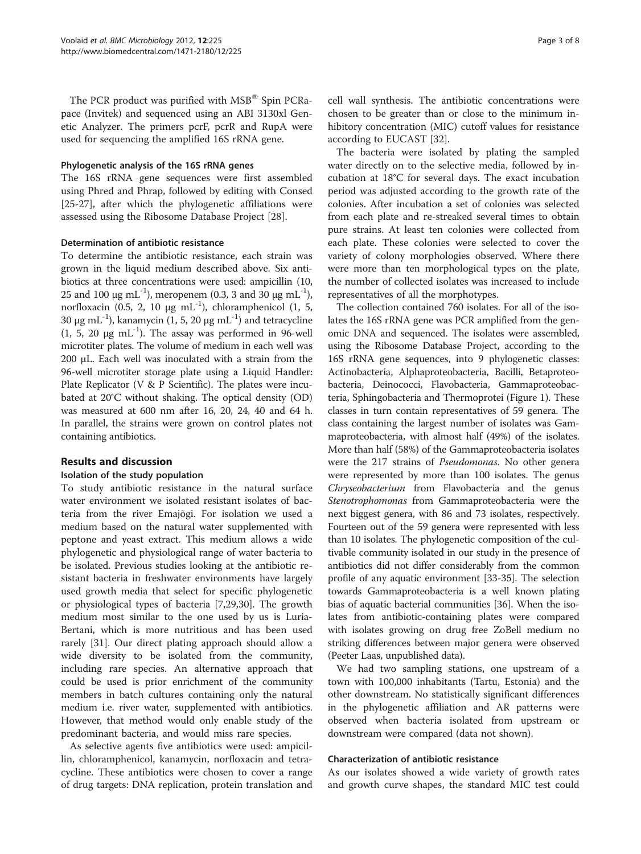The PCR product was purified with  $MSB^{\circledast}$  Spin PCRapace (Invitek) and sequenced using an ABI 3130xl Genetic Analyzer. The primers pcrF, pcrR and RupA were used for sequencing the amplified 16S rRNA gene.

### Phylogenetic analysis of the 16S rRNA genes

The 16S rRNA gene sequences were first assembled using Phred and Phrap, followed by editing with Consed [[25-27](#page-7-0)], after which the phylogenetic affiliations were assessed using the Ribosome Database Project [[28\]](#page-7-0).

# Determination of antibiotic resistance

To determine the antibiotic resistance, each strain was grown in the liquid medium described above. Six antibiotics at three concentrations were used: ampicillin (10, 25 and 100 μg mL<sup>-1</sup>), meropenem (0.3, 3 and 30 μg mL<sup>-1</sup>), norfloxacin (0.5, 2, 10 μg mL<sup>-1</sup>), chloramphenicol (1, 5, 30 μg mL<sup>-1</sup>), kanamycin (1, 5, 20 μg mL<sup>-1</sup>) and tetracycline (1, 5, 20  $\mu$ g mL<sup>-1</sup>). The assay was performed in 96-well microtiter plates. The volume of medium in each well was 200 μL. Each well was inoculated with a strain from the 96-well microtiter storage plate using a Liquid Handler: Plate Replicator (V & P Scientific). The plates were incubated at 20°C without shaking. The optical density (OD) was measured at 600 nm after 16, 20, 24, 40 and 64 h. In parallel, the strains were grown on control plates not containing antibiotics.

# Results and discussion

# Isolation of the study population

To study antibiotic resistance in the natural surface water environment we isolated resistant isolates of bacteria from the river Emajõgi. For isolation we used a medium based on the natural water supplemented with peptone and yeast extract. This medium allows a wide phylogenetic and physiological range of water bacteria to be isolated. Previous studies looking at the antibiotic resistant bacteria in freshwater environments have largely used growth media that select for specific phylogenetic or physiological types of bacteria [[7,29,30\]](#page-7-0). The growth medium most similar to the one used by us is Luria-Bertani, which is more nutritious and has been used rarely [\[31\]](#page-7-0). Our direct plating approach should allow a wide diversity to be isolated from the community, including rare species. An alternative approach that could be used is prior enrichment of the community members in batch cultures containing only the natural medium i.e. river water, supplemented with antibiotics. However, that method would only enable study of the predominant bacteria, and would miss rare species.

As selective agents five antibiotics were used: ampicillin, chloramphenicol, kanamycin, norfloxacin and tetracycline. These antibiotics were chosen to cover a range of drug targets: DNA replication, protein translation and

cell wall synthesis. The antibiotic concentrations were chosen to be greater than or close to the minimum inhibitory concentration (MIC) cutoff values for resistance according to EUCAST [\[32\]](#page-7-0).

The bacteria were isolated by plating the sampled water directly on to the selective media, followed by incubation at 18°C for several days. The exact incubation period was adjusted according to the growth rate of the colonies. After incubation a set of colonies was selected from each plate and re-streaked several times to obtain pure strains. At least ten colonies were collected from each plate. These colonies were selected to cover the variety of colony morphologies observed. Where there were more than ten morphological types on the plate, the number of collected isolates was increased to include representatives of all the morphotypes.

The collection contained 760 isolates. For all of the isolates the 16S rRNA gene was PCR amplified from the genomic DNA and sequenced. The isolates were assembled, using the Ribosome Database Project, according to the 16S rRNA gene sequences, into 9 phylogenetic classes: Actinobacteria, Alphaproteobacteria, Bacilli, Betaproteobacteria, Deinococci, Flavobacteria, Gammaproteobacteria, Sphingobacteria and Thermoprotei (Figure [1\)](#page-3-0). These classes in turn contain representatives of 59 genera. The class containing the largest number of isolates was Gammaproteobacteria, with almost half (49%) of the isolates. More than half (58%) of the Gammaproteobacteria isolates were the 217 strains of Pseudomonas. No other genera were represented by more than 100 isolates. The genus Chryseobacterium from Flavobacteria and the genus Stenotrophomonas from Gammaproteobacteria were the next biggest genera, with 86 and 73 isolates, respectively. Fourteen out of the 59 genera were represented with less than 10 isolates. The phylogenetic composition of the cultivable community isolated in our study in the presence of antibiotics did not differ considerably from the common profile of any aquatic environment [[33](#page-7-0)-[35](#page-7-0)]. The selection towards Gammaproteobacteria is a well known plating bias of aquatic bacterial communities [\[36\]](#page-7-0). When the isolates from antibiotic-containing plates were compared with isolates growing on drug free ZoBell medium no striking differences between major genera were observed (Peeter Laas, unpublished data).

We had two sampling stations, one upstream of a town with 100,000 inhabitants (Tartu, Estonia) and the other downstream. No statistically significant differences in the phylogenetic affiliation and AR patterns were observed when bacteria isolated from upstream or downstream were compared (data not shown).

#### Characterization of antibiotic resistance

As our isolates showed a wide variety of growth rates and growth curve shapes, the standard MIC test could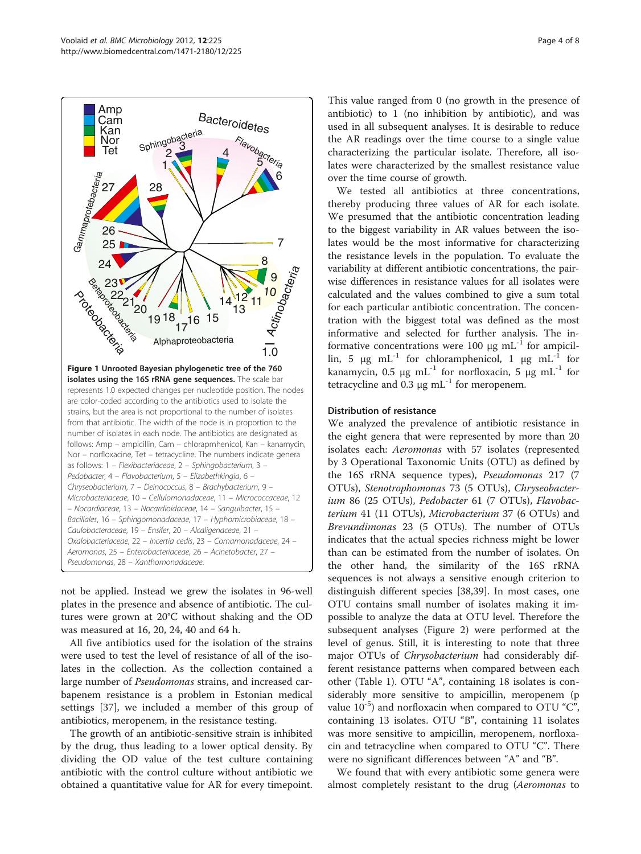<span id="page-3-0"></span>

not be applied. Instead we grew the isolates in 96-well plates in the presence and absence of antibiotic. The cultures were grown at 20°C without shaking and the OD was measured at 16, 20, 24, 40 and 64 h.

All five antibiotics used for the isolation of the strains were used to test the level of resistance of all of the isolates in the collection. As the collection contained a large number of *Pseudomonas* strains, and increased carbapenem resistance is a problem in Estonian medical settings [[37\]](#page-7-0), we included a member of this group of antibiotics, meropenem, in the resistance testing.

The growth of an antibiotic-sensitive strain is inhibited by the drug, thus leading to a lower optical density. By dividing the OD value of the test culture containing antibiotic with the control culture without antibiotic we obtained a quantitative value for AR for every timepoint.

This value ranged from 0 (no growth in the presence of antibiotic) to 1 (no inhibition by antibiotic), and was used in all subsequent analyses. It is desirable to reduce the AR readings over the time course to a single value characterizing the particular isolate. Therefore, all isolates were characterized by the smallest resistance value over the time course of growth.

We tested all antibiotics at three concentrations, thereby producing three values of AR for each isolate. We presumed that the antibiotic concentration leading to the biggest variability in AR values between the isolates would be the most informative for characterizing the resistance levels in the population. To evaluate the variability at different antibiotic concentrations, the pairwise differences in resistance values for all isolates were calculated and the values combined to give a sum total for each particular antibiotic concentration. The concentration with the biggest total was defined as the most informative and selected for further analysis. The informative concentrations were 100  $\mu$ g mL<sup>-1</sup> for ampicillin, 5 μg mL<sup>-1</sup> for chloramphenicol, 1 μg mL<sup>-1</sup> for kanamycin, 0.5 μg mL<sup>-1</sup> for norfloxacin, 5 μg mL<sup>-1</sup> for tetracycline and 0.3 μg  $mL^{-1}$  for meropenem.

# Distribution of resistance

We analyzed the prevalence of antibiotic resistance in the eight genera that were represented by more than 20 isolates each: Aeromonas with 57 isolates (represented by 3 Operational Taxonomic Units (OTU) as defined by the 16S rRNA sequence types), Pseudomonas 217 (7 OTUs), Stenotrophomonas 73 (5 OTUs), Chryseobacterium 86 (25 OTUs), Pedobacter 61 (7 OTUs), Flavobacterium 41 (11 OTUs), Microbacterium 37 (6 OTUs) and Brevundimonas 23 (5 OTUs). The number of OTUs indicates that the actual species richness might be lower than can be estimated from the number of isolates. On the other hand, the similarity of the 16S rRNA sequences is not always a sensitive enough criterion to distinguish different species [[38,39\]](#page-7-0). In most cases, one OTU contains small number of isolates making it impossible to analyze the data at OTU level. Therefore the subsequent analyses (Figure [2\)](#page-4-0) were performed at the level of genus. Still, it is interesting to note that three major OTUs of Chrysobacterium had considerably different resistance patterns when compared between each other (Table [1\)](#page-5-0). OTU "A", containing 18 isolates is considerably more sensitive to ampicillin, meropenem (p value  $10^{-5}$ ) and norfloxacin when compared to OTU "C", containing 13 isolates. OTU "B", containing 11 isolates was more sensitive to ampicillin, meropenem, norfloxacin and tetracycline when compared to OTU "C". There were no significant differences between "A" and "B".

We found that with every antibiotic some genera were almost completely resistant to the drug (Aeromonas to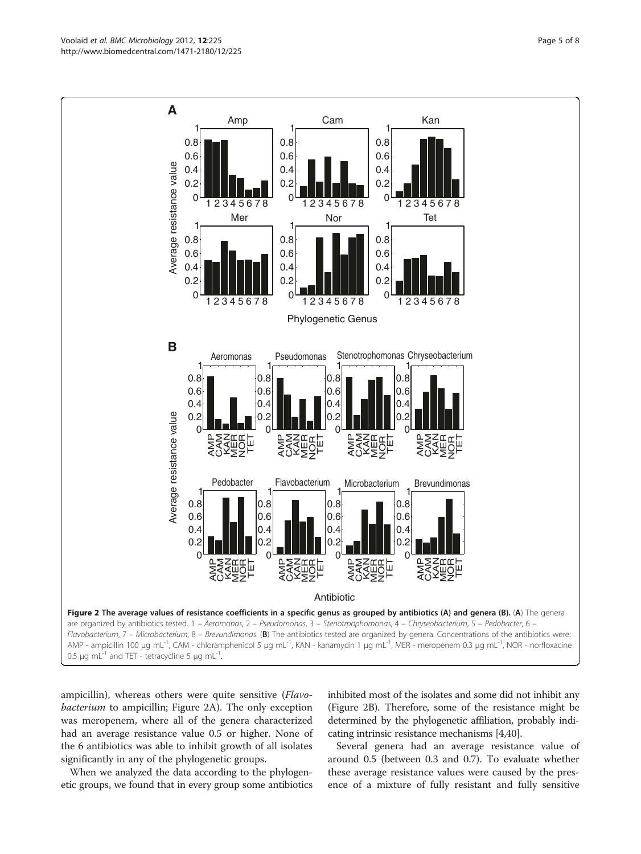ampicillin), whereas others were quite sensitive (Flavobacterium to ampicillin; Figure 2A). The only exception was meropenem, where all of the genera characterized had an average resistance value 0.5 or higher. None of the 6 antibiotics was able to inhibit growth of all isolates significantly in any of the phylogenetic groups.

When we analyzed the data according to the phylogenetic groups, we found that in every group some antibiotics inhibited most of the isolates and some did not inhibit any (Figure 2B). Therefore, some of the resistance might be determined by the phylogenetic affiliation, probably indicating intrinsic resistance mechanisms [[4,40](#page-7-0)].

Several genera had an average resistance value of around 0.5 (between 0.3 and 0.7). To evaluate whether these average resistance values were caused by the presence of a mixture of fully resistant and fully sensitive

<span id="page-4-0"></span>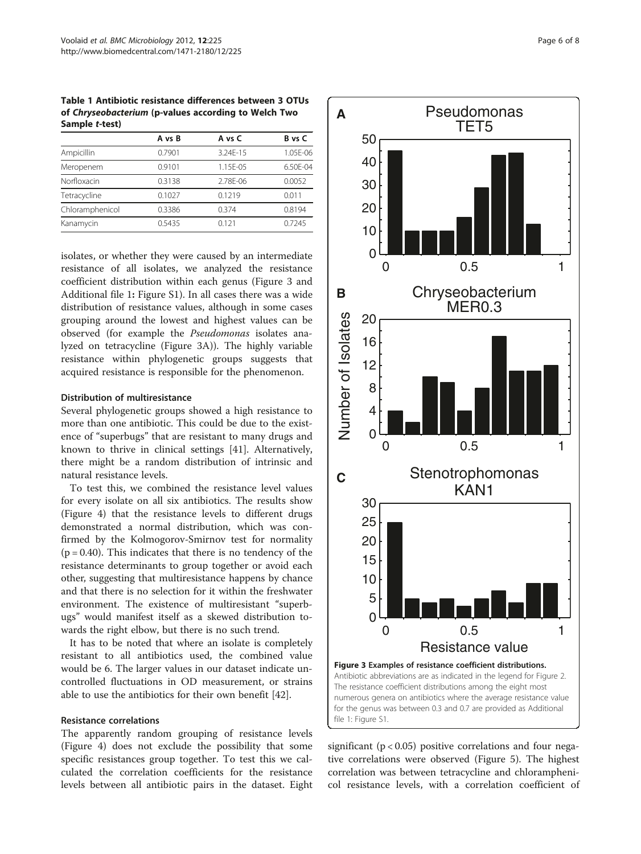<span id="page-5-0"></span>Table 1 Antibiotic resistance differences between 3 OTUs of Chryseobacterium (p-values according to Welch Two Sample t-test)

|                 | A vs B | A vs C   | B vs C   |
|-----------------|--------|----------|----------|
| Ampicillin      | 0.7901 | 3.24F-15 | 1.05E-06 |
| Meropenem       | 0.9101 | 1.15E-05 | 6.50F-04 |
| Norfloxacin     | 0.3138 | 2.78E-06 | 0.0052   |
| Tetracycline    | 0.1027 | 0.1219   | 0.011    |
| Chloramphenicol | 0.3386 | 0.374    | 0.8194   |
| Kanamycin       | 0.5435 | 0.121    | 0.7245   |

isolates, or whether they were caused by an intermediate resistance of all isolates, we analyzed the resistance coefficient distribution within each genus (Figure 3 and Additional file [1](#page-6-0): Figure S1). In all cases there was a wide distribution of resistance values, although in some cases grouping around the lowest and highest values can be observed (for example the Pseudomonas isolates analyzed on tetracycline (Figure 3A)). The highly variable resistance within phylogenetic groups suggests that acquired resistance is responsible for the phenomenon.

# Distribution of multiresistance

Several phylogenetic groups showed a high resistance to more than one antibiotic. This could be due to the existence of "superbugs" that are resistant to many drugs and known to thrive in clinical settings [\[41](#page-7-0)]. Alternatively, there might be a random distribution of intrinsic and natural resistance levels.

To test this, we combined the resistance level values for every isolate on all six antibiotics. The results show (Figure [4\)](#page-6-0) that the resistance levels to different drugs demonstrated a normal distribution, which was confirmed by the Kolmogorov-Smirnov test for normality  $(p = 0.40)$ . This indicates that there is no tendency of the resistance determinants to group together or avoid each other, suggesting that multiresistance happens by chance and that there is no selection for it within the freshwater environment. The existence of multiresistant "superbugs" would manifest itself as a skewed distribution towards the right elbow, but there is no such trend.

It has to be noted that where an isolate is completely resistant to all antibiotics used, the combined value would be 6. The larger values in our dataset indicate uncontrolled fluctuations in OD measurement, or strains able to use the antibiotics for their own benefit [[42\]](#page-7-0).

# Resistance correlations

The apparently random grouping of resistance levels (Figure [4\)](#page-6-0) does not exclude the possibility that some specific resistances group together. To test this we calculated the correlation coefficients for the resistance levels between all antibiotic pairs in the dataset. Eight



significant ( $p < 0.05$ ) positive correlations and four negative correlations were observed (Figure [5](#page-6-0)). The highest correlation was between tetracycline and chloramphenicol resistance levels, with a correlation coefficient of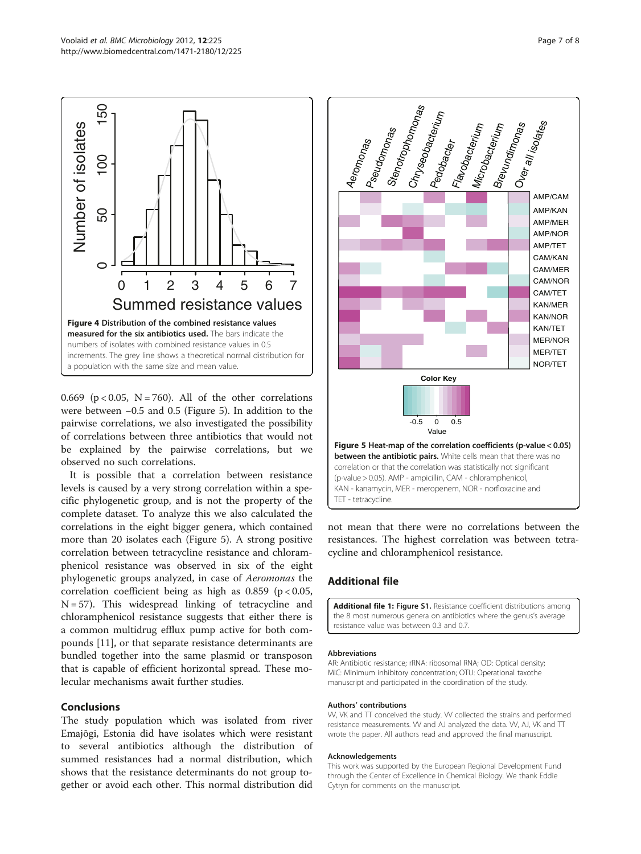<span id="page-6-0"></span>

0.669 ( $p < 0.05$ , N = 760). All of the other correlations were between −0.5 and 0.5 (Figure 5). In addition to the pairwise correlations, we also investigated the possibility of correlations between three antibiotics that would not be explained by the pairwise correlations, but we observed no such correlations.

It is possible that a correlation between resistance levels is caused by a very strong correlation within a specific phylogenetic group, and is not the property of the complete dataset. To analyze this we also calculated the correlations in the eight bigger genera, which contained more than 20 isolates each (Figure 5). A strong positive correlation between tetracycline resistance and chloramphenicol resistance was observed in six of the eight phylogenetic groups analyzed, in case of Aeromonas the correlation coefficient being as high as  $0.859$  (p <  $0.05$ ,  $N = 57$ ). This widespread linking of tetracycline and chloramphenicol resistance suggests that either there is a common multidrug efflux pump active for both compounds [[11\]](#page-7-0), or that separate resistance determinants are bundled together into the same plasmid or transposon that is capable of efficient horizontal spread. These molecular mechanisms await further studies.

# Conclusions

The study population which was isolated from river Emajõgi, Estonia did have isolates which were resistant to several antibiotics although the distribution of summed resistances had a normal distribution, which shows that the resistance determinants do not group together or avoid each other. This normal distribution did



not mean that there were no correlations between the resistances. The highest correlation was between tetracycline and chloramphenicol resistance.

# Additional file

[Additional file 1:](http://www.biomedcentral.com/content/supplementary/1471-2180-12-225-S1.doc) Figure S1. Resistance coefficient distributions among the 8 most numerous genera on antibiotics where the genus's average resistance value was between 0.3 and 0.7.

#### Abbreviations

AR: Antibiotic resistance; rRNA: ribosomal RNA; OD: Optical density; MIC: Minimum inhibitory concentration; OTU: Operational taxothe manuscript and participated in the coordination of the study.

#### Authors' contributions

VV, VK and TT conceived the study. VV collected the strains and performed resistance measurements. W and AJ analyzed the data. W, AJ, VK and TT wrote the paper. All authors read and approved the final manuscript.

#### Acknowledgements

This work was supported by the European Regional Development Fund through the Center of Excellence in Chemical Biology. We thank Eddie Cytryn for comments on the manuscript.